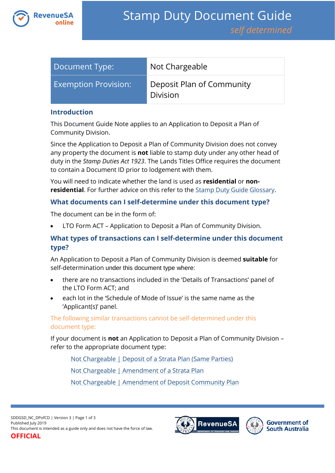

| Document Type:              | Not Chargeable                               |
|-----------------------------|----------------------------------------------|
| <b>Exemption Provision:</b> | Deposit Plan of Community<br><b>Division</b> |

#### **Introduction**

This Document Guide Note applies to an Application to Deposit a Plan of Community Division.

Since the Application to Deposit a Plan of Community Division does not convey any property the document is **not** liable to stamp duty under any other head of duty in the *Stamp Duties Act 1923*. The Lands Titles Office requires the document to contain a Document ID prior to lodgement with them.

You will need to indicate whether the land is used as **residential** or **nonresidential**. For further advice on this refer to the **Stamp Duty Guide Glossary**.

### **What documents can I self-determine under this document type?**

The document can be in the form of:

LTO Form ACT – Application to Deposit a Plan of Community Division.

# **What types of transactions can I self-determine under this document type?**

An Application to Deposit a Plan of Community Division is deemed **suitable** for self-determination under this document type where:

- there are no transactions included in the 'Details of Transactions' panel of the LTO Form ACT; and
- each lot in the 'Schedule of Mode of Issue' is the same name as the 'Applicant(s)' panel.

The following similar transactions cannot be self-determined under this document type:

If your document is **not** an Application to Deposit a Plan of Community Division – refer to the appropriate document type:

[Not Chargeable | Deposit of a Strata Plan \(Same Parties\)](https://www.revenuesa.sa.gov.au/stampduty/stamp-duty-document-guide/self-determined/not-chargeable/sddgsd_nc_dofsp)

[Not Chargeable | Amendment of a Strata Plan](https://www.revenuesa.sa.gov.au/stampduty/stamp-duty-document-guide/self-determined/not-chargeable/sddgsd_nc_aofsp)

[Not Chargeable | Amendment of Deposit Community Plan](https://www.revenuesa.sa.gov.au/stampduty/stamp-duty-document-guide/self-determined/not-chargeable/sddgsd_nc_aofdcp)



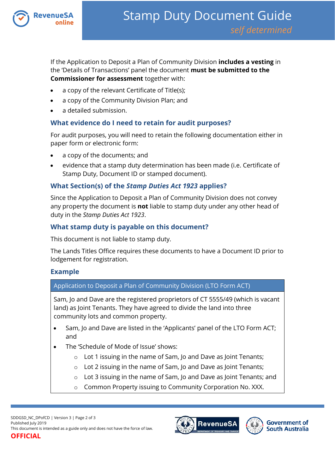

If the Application to Deposit a Plan of Community Division **includes a vesting** in the 'Details of Transactions' panel the document **must be submitted to the Commissioner for assessment** together with:

- a copy of the relevant Certificate of Title(s);
- a copy of the Community Division Plan; and
- a detailed submission.

# **What evidence do I need to retain for audit purposes?**

For audit purposes, you will need to retain the following documentation either in paper form or electronic form:

- a copy of the documents; and
- evidence that a stamp duty determination has been made (i.e. Certificate of Stamp Duty, Document ID or stamped document).

### **What Section(s) of the** *Stamp Duties Act 1923* **applies?**

Since the Application to Deposit a Plan of Community Division does not convey any property the document is **not** liable to stamp duty under any other head of duty in the *Stamp Duties Act 1923*.

# **What stamp duty is payable on this document?**

This document is not liable to stamp duty.

The Lands Titles Office requires these documents to have a Document ID prior to lodgement for registration.

### **Example**

### Application to Deposit a Plan of Community Division (LTO Form ACT)

Sam, Jo and Dave are the registered proprietors of CT 5555/49 (which is vacant land) as Joint Tenants. They have agreed to divide the land into three community lots and common property.

- Sam, Jo and Dave are listed in the 'Applicants' panel of the LTO Form ACT; and
- The 'Schedule of Mode of Issue' shows:
	- o Lot 1 issuing in the name of Sam, Jo and Dave as Joint Tenants;
	- $\circ$  Lot 2 issuing in the name of Sam, Jo and Dave as Joint Tenants;
	- o Lot 3 issuing in the name of Sam, Jo and Dave as Joint Tenants; and
	- o Common Property issuing to Community Corporation No. XXX.